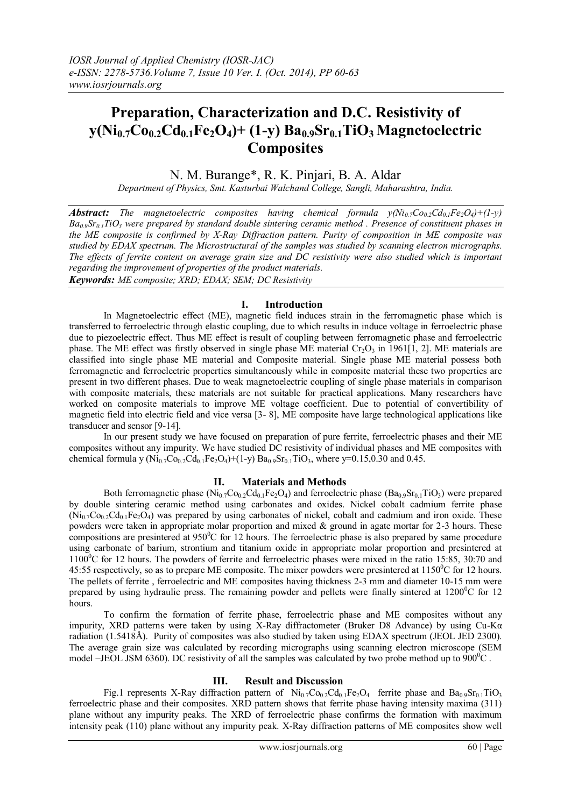# **Preparation, Characterization and D.C. Resistivity of y(Ni0.7Co0.2Cd0.1Fe2O4)+ (1-y) Ba0.9Sr0.1TiO3 Magnetoelectric Composites**

# N. M. Burange\*, R. K. Pinjari, B. A. Aldar

*Department of Physics, Smt. Kasturbai Walchand College, Sangli, Maharashtra, India.*

*Abstract: The magnetoelectric composites having chemical formula*  $y(Ni_{0.7}Co_{0.2}Cd_{0.1}Fe_2O_4)+(1-y)$ *Ba0.9Sr0.1TiO<sup>3</sup> were prepared by standard double sintering ceramic method . Presence of constituent phases in the ME composite is confirmed by X-Ray Diffraction pattern. Purity of composition in ME composite was studied by EDAX spectrum. The Microstructural of the samples was studied by scanning electron micrographs. The effects of ferrite content on average grain size and DC resistivity were also studied which is important regarding the improvement of properties of the product materials. Keywords: ME composite; XRD; EDAX; SEM; DC Resistivity*

## **I. Introduction**

In Magnetoelectric effect (ME), magnetic field induces strain in the ferromagnetic phase which is transferred to ferroelectric through elastic coupling, due to which results in induce voltage in ferroelectric phase due to piezoelectric effect. Thus ME effect is result of coupling between ferromagnetic phase and ferroelectric phase. The ME effect was firstly observed in single phase ME material  $Cr_2O_3$  in 1961[1, 2]. ME materials are classified into single phase ME material and Composite material. Single phase ME material possess both ferromagnetic and ferroelectric properties simultaneously while in composite material these two properties are present in two different phases. Due to weak magnetoelectric coupling of single phase materials in comparison with composite materials, these materials are not suitable for practical applications. Many researchers have worked on composite materials to improve ME voltage coefficient. Due to potential of convertibility of magnetic field into electric field and vice versa [3- 8], ME composite have large technological applications like transducer and sensor [9-14].

In our present study we have focused on preparation of pure ferrite, ferroelectric phases and their ME composites without any impurity. We have studied DC resistivity of individual phases and ME composites with chemical formula y (Ni<sub>0.7</sub>Co<sub>0.2</sub>Cd<sub>0.1</sub>Fe<sub>2</sub>O<sub>4</sub>)+(1-y) Ba<sub>0.9</sub>Sr<sub>0.1</sub>TiO<sub>3</sub>, where y=0.15,0.30 and 0.45.

## **II. Materials and Methods**

Both ferromagnetic phase  $(Ni_{0.7}Co_{0.2}Cd_{0.1}Fe_2O_4)$  and ferroelectric phase  $(Ba_{0.9}Sr_{0.1}TiO_3)$  were prepared by double sintering ceramic method using carbonates and oxides. Nickel cobalt cadmium ferrite phase  $(Ni_0<sub>7</sub>Co<sub>0.2</sub>Cd<sub>0.1</sub>Fe<sub>2</sub>O<sub>4</sub>)$  was prepared by using carbonates of nickel, cobalt and cadmium and iron oxide. These powders were taken in appropriate molar proportion and mixed  $\&$  ground in agate mortar for 2-3 hours. These compositions are presintered at  $950^{\circ}$ C for 12 hours. The ferroelectric phase is also prepared by same procedure using carbonate of barium, strontium and titanium oxide in appropriate molar proportion and presintered at 1100<sup>0</sup>C for 12 hours. The powders of ferrite and ferroelectric phases were mixed in the ratio 15:85, 30:70 and 45:55 respectively, so as to prepare ME composite. The mixer powders were presintered at  $1150^{\circ}$ C for 12 hours. The pellets of ferrite , ferroelectric and ME composites having thickness 2-3 mm and diameter 10-15 mm were prepared by using hydraulic press. The remaining powder and pellets were finally sintered at  $1200^{\circ}$ C for 12 hours.

To confirm the formation of ferrite phase, ferroelectric phase and ME composites without any impurity, XRD patterns were taken by using X-Ray diffractometer (Bruker D8 Advance) by using Cu-Kα radiation (1.5418Å). Purity of composites was also studied by taken using EDAX spectrum (JEOL JED 2300). The average grain size was calculated by recording micrographs using scanning electron microscope (SEM model –JEOL JSM 6360). DC resistivity of all the samples was calculated by two probe method up to  $900^{\circ}$ C.

#### **III. Result and Discussion**

Fig.1 represents X-Ray diffraction pattern of  $Ni<sub>0.7</sub>Co<sub>0.2</sub>Cd<sub>0.1</sub>Fe<sub>2</sub>O<sub>4</sub>$  ferrite phase and  $Ba<sub>0.9</sub>Sr<sub>0.1</sub>TiO<sub>3</sub>$ ferroelectric phase and their composites. XRD pattern shows that ferrite phase having intensity maxima (311) plane without any impurity peaks. The XRD of ferroelectric phase confirms the formation with maximum intensity peak (110) plane without any impurity peak. X-Ray diffraction patterns of ME composites show well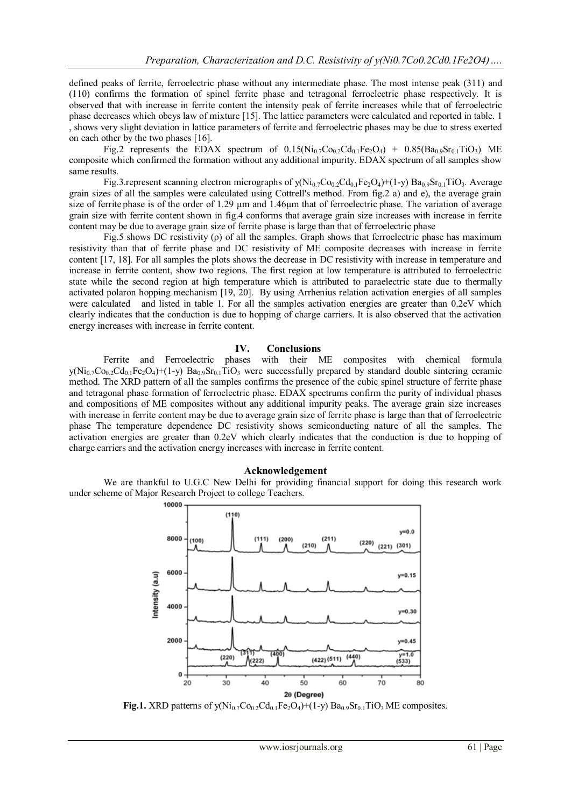defined peaks of ferrite, ferroelectric phase without any intermediate phase. The most intense peak (311) and (110) confirms the formation of spinel ferrite phase and tetragonal ferroelectric phase respectively. It is observed that with increase in ferrite content the intensity peak of ferrite increases while that of ferroelectric phase decreases which obeys law of mixture [15]. The lattice parameters were calculated and reported in table. 1 , shows very slight deviation in lattice parameters of ferrite and ferroelectric phases may be due to stress exerted on each other by the two phases [16].

Fig.2 represents the EDAX spectrum of  $0.15(\text{Ni}_0\text{-}C_{00.2}\text{Cd}_0\text{-}Fe_2\text{O}_4) + 0.85(\text{Ba}_0\text{-}S_{0.1}\text{TiO}_3)$  ME composite which confirmed the formation without any additional impurity. EDAX spectrum of all samples show same results.

Fig.3.represent scanning electron micrographs of  $y(Ni_{0.7}Co_{0.2}Cd_{0.1}Fe_2O_4)+(1-y) Ba_{0.9}Sr_{0.1}TiO_3$ . Average grain sizes of all the samples were calculated using Cottrell's method. From fig.2 a) and e), the average grain size of ferrite phase is of the order of 1.29 µm and 1.46µm that of ferroelectric phase. The variation of average grain size with ferrite content shown in fig.4 conforms that average grain size increases with increase in ferrite content may be due to average grain size of ferrite phase is large than that of ferroelectric phase

Fig.5 shows DC resistivity (ρ) of all the samples. Graph shows that ferroelectric phase has maximum resistivity than that of ferrite phase and DC resistivity of ME composite decreases with increase in ferrite content [17, 18]. For all samples the plots shows the decrease in DC resistivity with increase in temperature and increase in ferrite content, show two regions. The first region at low temperature is attributed to ferroelectric state while the second region at high temperature which is attributed to paraelectric state due to thermally activated polaron hopping mechanism [19, 20]. By using Arrhenius relation activation energies of all samples were calculated and listed in table 1. For all the samples activation energies are greater than 0.2eV which clearly indicates that the conduction is due to hopping of charge carriers. It is also observed that the activation energy increases with increase in ferrite content.

#### **IV. Conclusions**

Ferrite and Ferroelectric phases with their ME composites with chemical formula  $y(Ni_07Co_02Cd_01Fe_2O_4)+(1-y) Ba_09Sr_01TiO_3$  were successfully prepared by standard double sintering ceramic method. The XRD pattern of all the samples confirms the presence of the cubic spinel structure of ferrite phase and tetragonal phase formation of ferroelectric phase. EDAX spectrums confirm the purity of individual phases and compositions of ME composites without any additional impurity peaks. The average grain size increases with increase in ferrite content may be due to average grain size of ferrite phase is large than that of ferroelectric phase The temperature dependence DC resistivity shows semiconducting nature of all the samples. The activation energies are greater than 0.2eV which clearly indicates that the conduction is due to hopping of charge carriers and the activation energy increases with increase in ferrite content.

#### **Acknowledgement**

We are thankful to U.G.C New Delhi for providing financial support for doing this research work under scheme of Major Research Project to college Teachers.



**Fig.1.** XRD patterns of  $y(Ni_0.7Co_{0.2}Cd_{0.1}Fe_2O_4)+(1-y) Ba_{0.9}Sr_{0.1}TiO_3 ME composites.$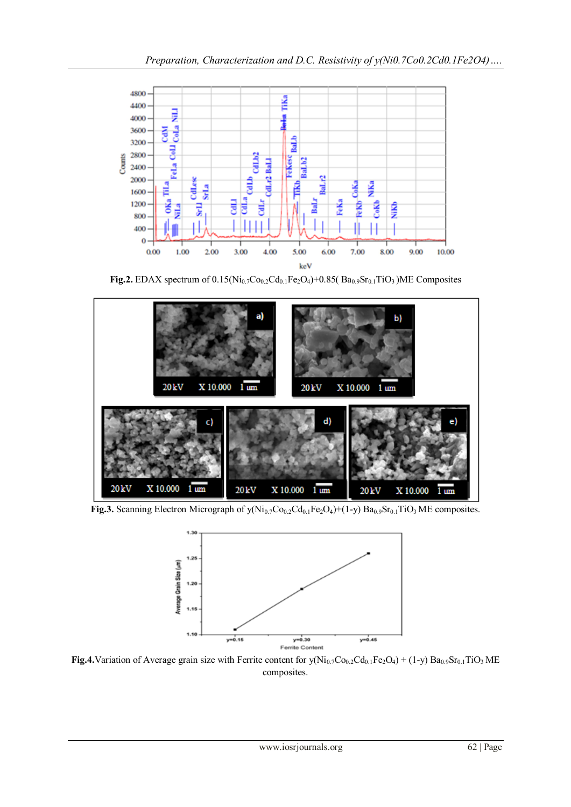

**Fig.2.** EDAX spectrum of  $0.15(Ni_{0.7}Co_{0.2}Cd_{0.1}Fe_2O_4)+0.85(Sa_{0.9}Sr_{0.1}TiO_3)ME Composites$ 



**Fig.3.** Scanning Electron Micrograph of  $y(Ni_{0.7}Co_{0.2}Cd_{0.1}Fe_2O_4)+(1-y) Ba_{0.9}Sr_{0.1}TiO_3 ME composites.$ 



**Fig.4.**Variation of Average grain size with Ferrite content for  $y(Ni_{0.7}Co_{0.2}Cd_{0.1}Fe_2O_4) + (1-y) Ba_{0.9}Sr_{0.1}TiO_3 ME$ composites.